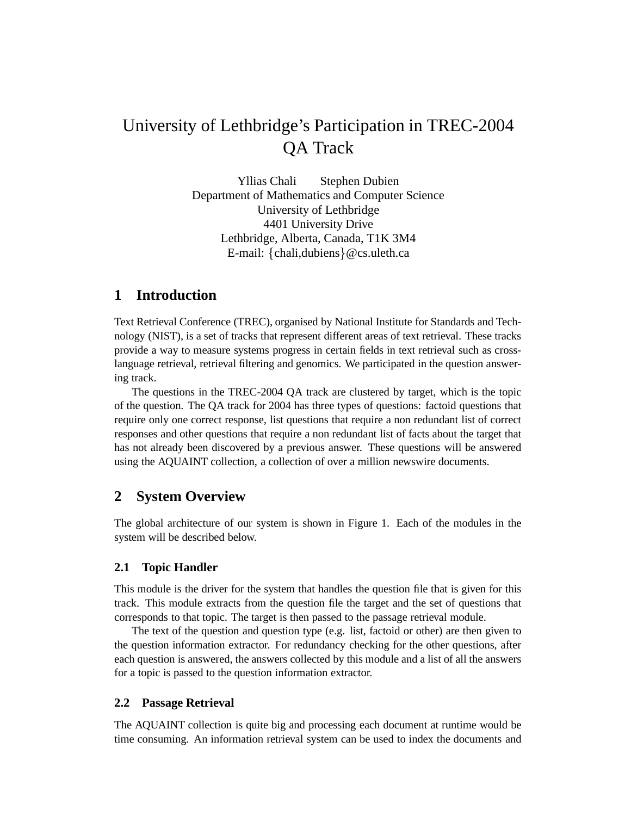# University of Lethbridge's Participation in TREC-2004 QA Track

Yllias Chali Stephen Dubien Department of Mathematics and Computer Science University of Lethbridge 4401 University Drive Lethbridge, Alberta, Canada, T1K 3M4 E-mail: {chali,dubiens} @cs.uleth.ca

# **1 Introduction**

Text Retrieval Conference (TREC), organised by National Institute for Standards and Technology (NIST), is a set of tracks that represent different areas of text retrieval. These tracks provide a way to measure systems progress in certain fields in text retrieval such as crosslanguage retrieval, retrieval filtering and genomics. We participated in the question answering track.

The questions in the TREC-2004 QA track are clustered by target, which is the topic of the question. The QA track for 2004 has three types of questions: factoid questions that require only one correct response, list questions that require a non redundant list of correct responses and other questions that require a non redundant list of facts about the target that has not already been discovered by a previous answer. These questions will be answered using the AQUAINT collection, a collection of over a million newswire documents.

# **2 System Overview**

The global architecture of our system is shown in Figure 1. Each of the modules in the system will be described below.

#### **2.1 Topic Handler**

This module is the driver for the system that handles the question file that is given for this track. This module extracts from the question file the target and the set of questions that corresponds to that topic. The target is then passed to the passage retrieval module.

The text of the question and question type (e.g. list, factoid or other) are then given to the question information extractor. For redundancy checking for the other questions, after each question is answered, the answers collected by this module and a list of all the answers for a topic is passed to the question information extractor.

#### **2.2 Passage Retrieval**

The AQUAINT collection is quite big and processing each document at runtime would be time consuming. An information retrieval system can be used to index the documents and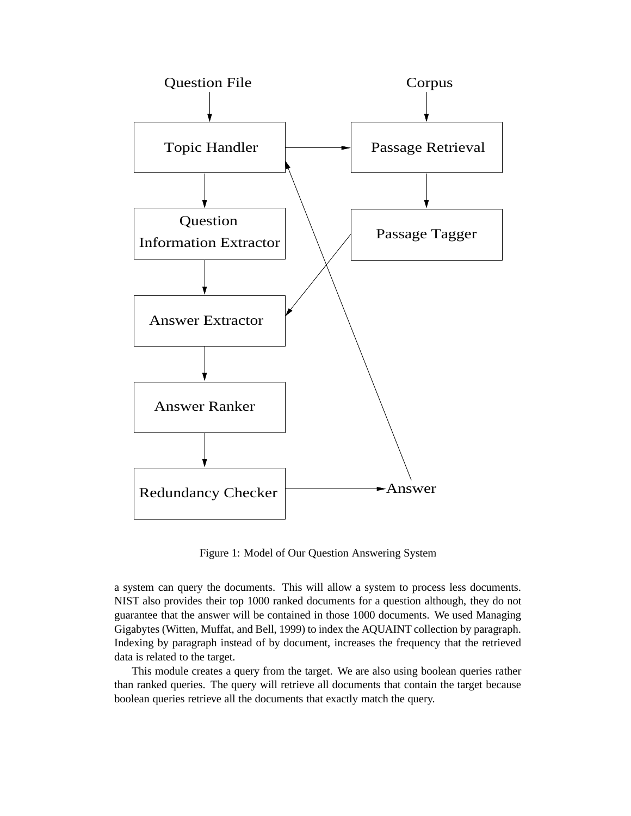

Figure 1: Model of Our Question Answering System

a system can query the documents. This will allow a system to process less documents. NIST also provides their top 1000 ranked documents for a question although, they do not guarantee that the answer will be contained in those 1000 documents. We used Managing Gigabytes (Witten, Muffat, and Bell, 1999) to index the AQUAINT collection by paragraph. Indexing by paragraph instead of by document, increases the frequency that the retrieved data is related to the target.

This module creates a query from the target. We are also using boolean queries rather than ranked queries. The query will retrieve all documents that contain the target because boolean queries retrieve all the documents that exactly match the query.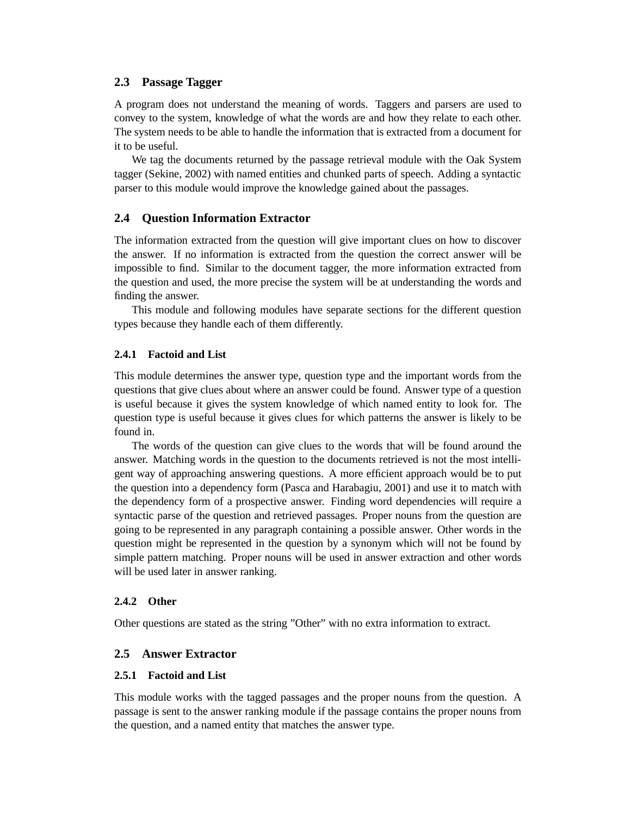#### **2.3 Passage Tagger**

A program does not understand the meaning of words. Taggers and parsers are used to convey to the system, knowledge of what the words are and how they relate to each other. The system needs to be able to handle the information that is extracted from a document for it to be useful.

We tag the documents returned by the passage retrieval module with the Oak System tagger (Sekine, 2002) with named entities and chunked parts of speech. Adding a syntactic parser to this module would improve the knowledge gained about the passages.

#### **2.4 Question Information Extractor**

The information extracted from the question will give important clues on how to discover the answer. If no information is extracted from the question the correct answer will be impossible to find. Similar to the document tagger, the more information extracted from the question and used, the more precise the system will be at understanding the words and finding the answer.

This module and following modules have separate sections for the different question types because they handle each of them differently.

#### **2.4.1 Factoid and List**

This module determines the answer type, question type and the important words from the questions that give clues about where an answer could be found. Answer type of a question is useful because it gives the system knowledge of which named entity to look for. The question type is useful because it gives clues for which patterns the answer is likely to be found in.

The words of the question can give clues to the words that will be found around the answer. Matching words in the question to the documents retrieved is not the most intelligent way of approaching answering questions. A more efficient approach would be to put the question into a dependency form (Pasca and Harabagiu, 2001) and use it to match with the dependency form of a prospective answer. Finding word dependencies will require a syntactic parse of the question and retrieved passages. Proper nouns from the question are going to be represented in any paragraph containing a possible answer. Other words in the question might be represented in the question by a synonym which will not be found by simple pattern matching. Proper nouns will be used in answer extraction and other words will be used later in answer ranking.

#### **2.4.2 Other**

Other questions are stated as the string "Other" with no extra information to extract.

#### **2.5 Answer Extractor**

#### **2.5.1 Factoid and List**

This module works with the tagged passages and the proper nouns from the question. A passage is sent to the answer ranking module if the passage contains the proper nouns from the question, and a named entity that matches the answer type.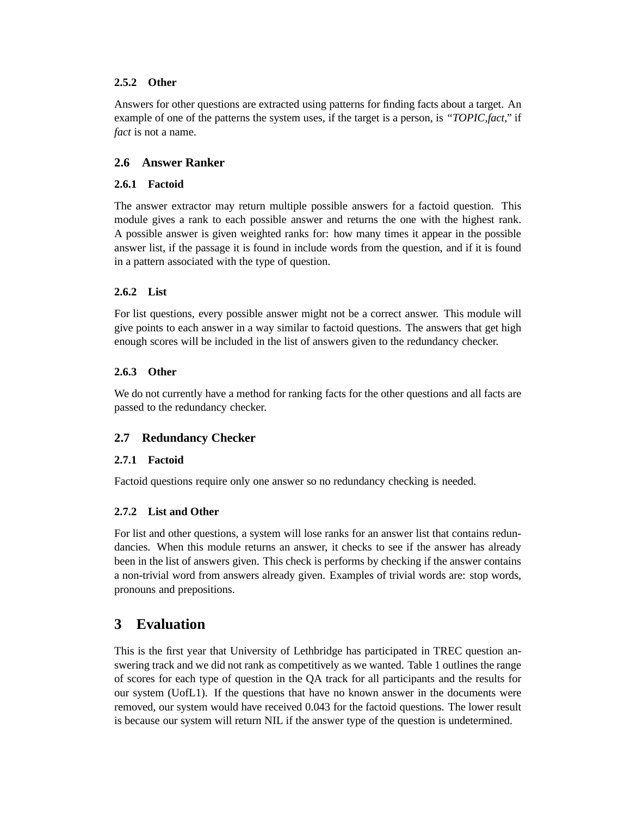### **2.5.2 Other**

Answers for other questions are extracted using patterns for finding facts about a target. An example of one of the patterns the system uses, if the target is a person, is *"TOPIC,fact,"* if *fact* is not a name.

## **2.6 Answer Ranker**

#### **2.6.1 Factoid**

The answer extractor may return multiple possible answers for a factoid question. This module gives a rank to each possible answer and returns the one with the highest rank. A possible answer is given weighted ranks for: how many times it appear in the possible answer list, if the passage it is found in include words from the question, and if it is found in a pattern associated with the type of question.

### **2.6.2 List**

For list questions, every possible answer might not be a correct answer. This module will give points to each answer in a way similar to factoid questions. The answers that get high enough scores will be included in the list of answers given to the redundancy checker.

### **2.6.3 Other**

We do not currently have a method for ranking facts for the other questions and all facts are passed to the redundancy checker.

## **2.7 Redundancy Checker**

#### **2.7.1 Factoid**

Factoid questions require only one answer so no redundancy checking is needed.

#### **2.7.2 List and Other**

For list and other questions, a system will lose ranks for an answer list that contains redundancies. When this module returns an answer, it checks to see if the answer has already been in the list of answers given. This check is performs by checking if the answer contains a non-trivial word from answers already given. Examples of trivial words are: stop words, pronouns and prepositions.

# **3 Evaluation**

This is the first year that University of Lethbridge has participated in TREC question answering track and we did not rank as competitively as we wanted. Table 1 outlines the range of scores for each type of question in the QA track for all participants and the results for our system (UofL1). If the questions that have no known answer in the documents were removed, our system would have received 0.043 for the factoid questions. The lower result is because our system will return NIL if the answer type of the question is undetermined.